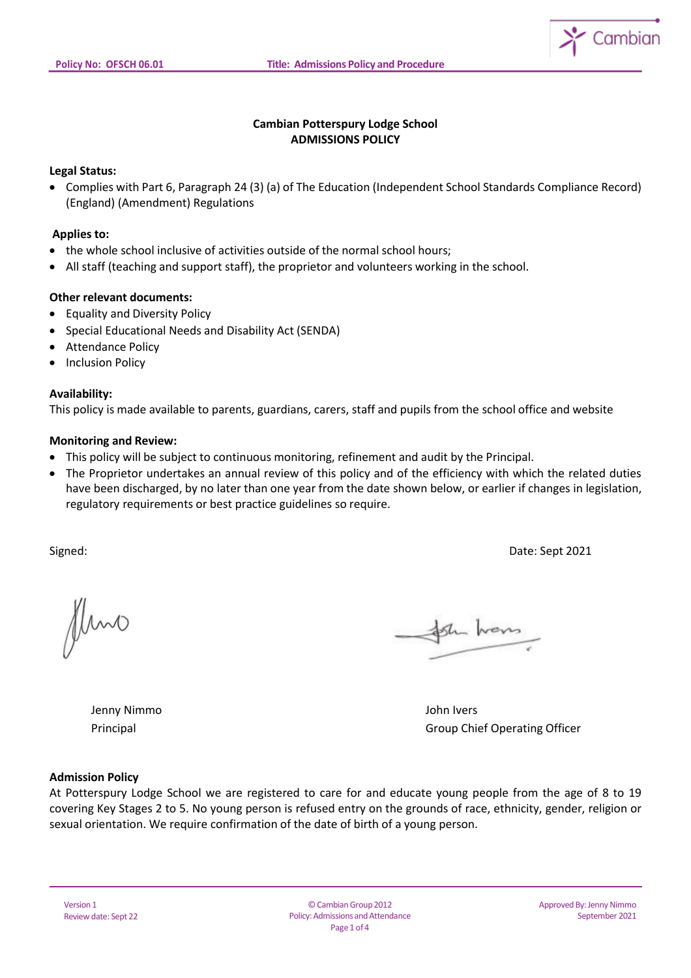

# **Cambian Potterspury Lodge School ADMISSIONS POLICY**

### **Legal Status:**

 Complies with Part 6, Paragraph 24 (3) (a) of The Education (Independent School Standards Compliance Record) (England) (Amendment) Regulations

#### **Applies to:**

- the whole school inclusive of activities outside of the normal school hours;
- All staff (teaching and support staff), the proprietor and volunteers working in the school.

#### **Other relevant documents:**

- Equality and Diversity Policy
- Special Educational Needs and Disability Act (SENDA)
- Attendance Policy
- Inclusion Policy

#### **Availability:**

This policy is made available to parents, guardians, carers, staff and pupils from the school office and website

#### **Monitoring and Review:**

- This policy will be subject to continuous monitoring, refinement and audit by the Principal.
- The Proprietor undertakes an annual review of this policy and of the efficiency with which the related duties have been discharged, by no later than one year from the date shown below, or earlier if changes in legislation, regulatory requirements or best practice guidelines so require.

Signed: Date: Sept 2021

Jluno

sh hans

Jenny Nimmo John Ivers

Principal Group Chief Operating Officer

#### **Admission Policy**

At Potterspury Lodge School we are registered to care for and educate young people from the age of 8 to 19 covering Key Stages 2 to 5. No young person is refused entry on the grounds of race, ethnicity, gender, religion or sexual orientation. We require confirmation of the date of birth of a young person.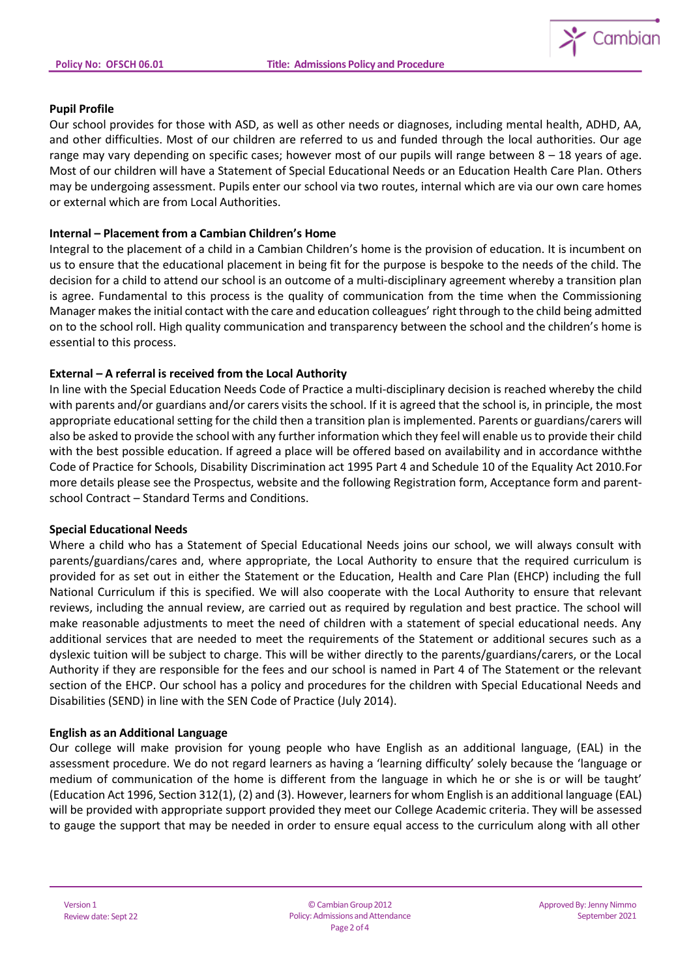

### **Pupil Profile**

Our school provides for those with ASD, as well as other needs or diagnoses, including mental health, ADHD, AA, and other difficulties. Most of our children are referred to us and funded through the local authorities. Our age range may vary depending on specific cases; however most of our pupils will range between 8 – 18 years of age. Most of our children will have a Statement of Special Educational Needs or an Education Health Care Plan. Others may be undergoing assessment. Pupils enter our school via two routes, internal which are via our own care homes or external which are from Local Authorities.

### **Internal – Placement from a Cambian Children's Home**

Integral to the placement of a child in a Cambian Children's home is the provision of education. It is incumbent on us to ensure that the educational placement in being fit for the purpose is bespoke to the needs of the child. The decision for a child to attend our school is an outcome of a multi-disciplinary agreement whereby a transition plan is agree. Fundamental to this process is the quality of communication from the time when the Commissioning Manager makesthe initial contact with the care and education colleagues' right through to the child being admitted on to the school roll. High quality communication and transparency between the school and the children's home is essential to this process.

# **External – A referral is received from the Local Authority**

In line with the Special Education Needs Code of Practice a multi-disciplinary decision is reached whereby the child with parents and/or guardians and/or carers visits the school. If it is agreed that the school is, in principle, the most appropriate educational setting for the child then a transition plan is implemented. Parents or guardians/carers will also be asked to provide the school with any further information which they feel will enable us to provide their child with the best possible education. If agreed a place will be offered based on availability and in accordance withthe Code of Practice for Schools, Disability Discrimination act 1995 Part 4 and Schedule 10 of the Equality Act 2010.For more details please see the Prospectus, website and the following Registration form, Acceptance form and parentschool Contract – Standard Terms and Conditions.

# **Special Educational Needs**

Where a child who has a Statement of Special Educational Needs joins our school, we will always consult with parents/guardians/cares and, where appropriate, the Local Authority to ensure that the required curriculum is provided for as set out in either the Statement or the Education, Health and Care Plan (EHCP) including the full National Curriculum if this is specified. We will also cooperate with the Local Authority to ensure that relevant reviews, including the annual review, are carried out as required by regulation and best practice. The school will make reasonable adjustments to meet the need of children with a statement of special educational needs. Any additional services that are needed to meet the requirements of the Statement or additional secures such as a dyslexic tuition will be subject to charge. This will be wither directly to the parents/guardians/carers, or the Local Authority if they are responsible for the fees and our school is named in Part 4 of The Statement or the relevant section of the EHCP. Our school has a policy and procedures for the children with Special Educational Needs and Disabilities (SEND) in line with the SEN Code of Practice (July 2014).

# **English as an Additional Language**

Our college will make provision for young people who have English as an additional language, (EAL) in the assessment procedure. We do not regard learners as having a 'learning difficulty' solely because the 'language or medium of communication of the home is different from the language in which he or she is or will be taught' (Education Act 1996, Section 312(1), (2) and (3). However, learners for whom English is an additional language (EAL) will be provided with appropriate support provided they meet our College Academic criteria. They will be assessed to gauge the support that may be needed in order to ensure equal access to the curriculum along with all other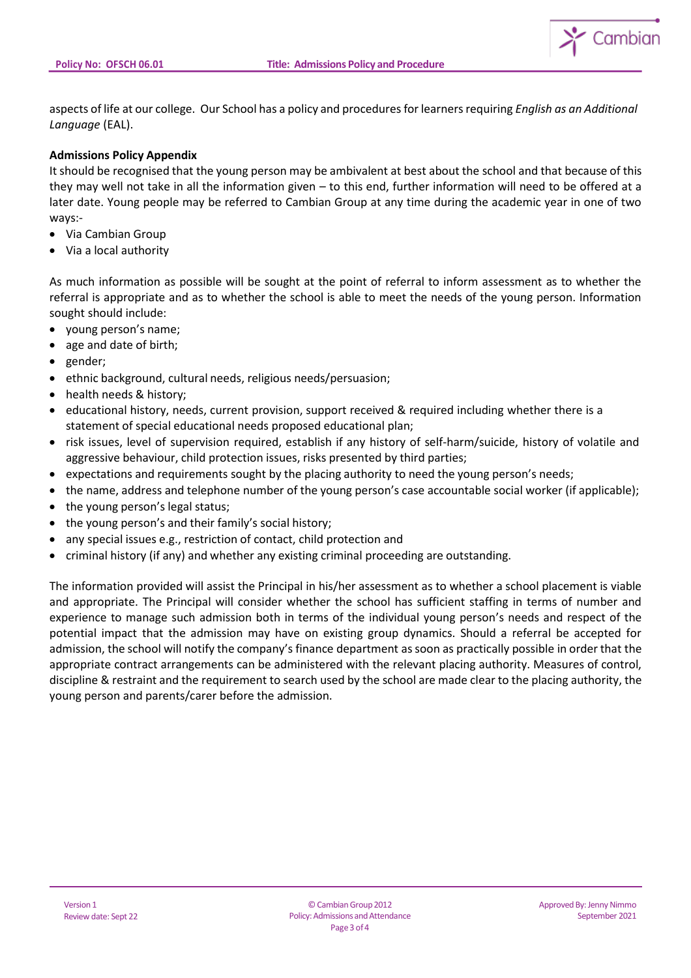

aspects of life at our college. Our School has a policy and proceduresforlearnersrequiring *English as an Additional Language* (EAL).

# **Admissions Policy Appendix**

It should be recognised that the young person may be ambivalent at best about the school and that because of this they may well not take in all the information given – to this end, further information will need to be offered at a later date. Young people may be referred to Cambian Group at any time during the academic year in one of two ways:-

- Via Cambian Group
- Via a local authority

As much information as possible will be sought at the point of referral to inform assessment as to whether the referral is appropriate and as to whether the school is able to meet the needs of the young person. Information sought should include:

- young person's name;
- age and date of birth;
- gender;
- ethnic background, cultural needs, religious needs/persuasion;
- health needs & history:
- educational history, needs, current provision, support received & required including whether there is a statement of special educational needs proposed educational plan;
- risk issues, level of supervision required, establish if any history of self-harm/suicide, history of volatile and aggressive behaviour, child protection issues, risks presented by third parties;
- expectations and requirements sought by the placing authority to need the young person's needs;
- the name, address and telephone number of the young person's case accountable social worker (if applicable);
- the young person's legal status;
- the young person's and their family's social history;
- any special issues e.g., restriction of contact, child protection and
- criminal history (if any) and whether any existing criminal proceeding are outstanding.

The information provided will assist the Principal in his/her assessment as to whether a school placement is viable and appropriate. The Principal will consider whether the school has sufficient staffing in terms of number and experience to manage such admission both in terms of the individual young person's needs and respect of the potential impact that the admission may have on existing group dynamics. Should a referral be accepted for admission, the school will notify the company's finance department assoon as practically possible in order that the appropriate contract arrangements can be administered with the relevant placing authority. Measures of control, discipline & restraint and the requirement to search used by the school are made clear to the placing authority, the young person and parents/carer before the admission.